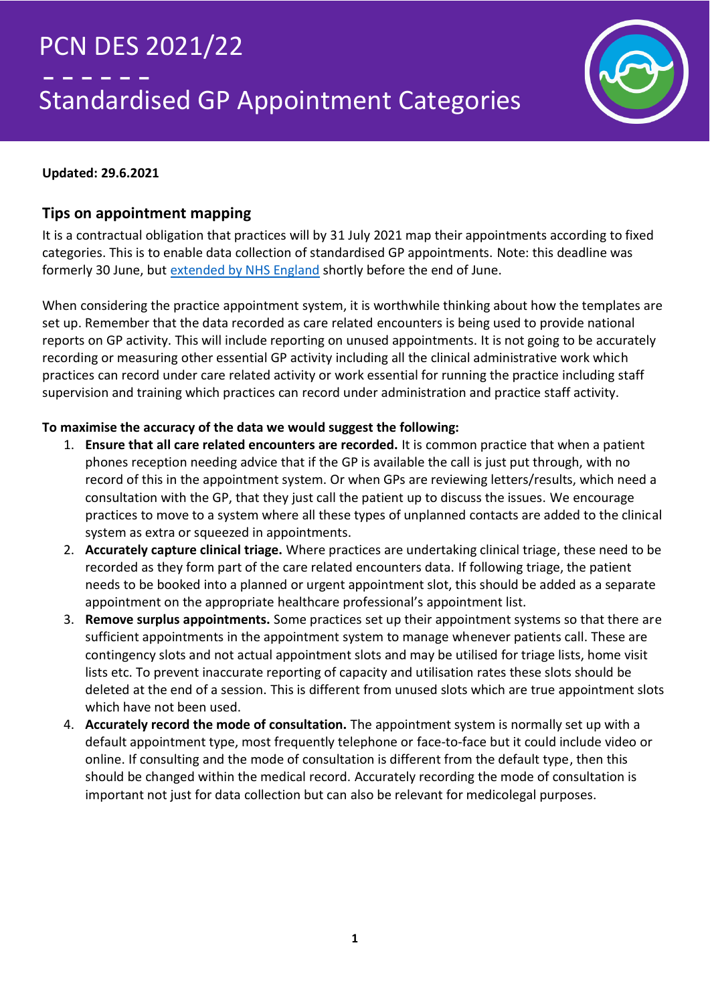

#### **Updated: 29.6.2021**

### **Tips on appointment mapping**

It is a contractual obligation that practices will by 31 July 2021 map their appointments according to fixed categories. This is to enable data collection of standardised GP appointments. Note: this deadline was formerly 30 June, but [extended by NHS England](https://www.lmc.org.uk/visageimages/2021%20Londonwide%20Newsletters/ACC01_data_collection_and_payment.pdf) shortly before the end of June.

When considering the practice appointment system, it is worthwhile thinking about how the templates are set up. Remember that the data recorded as care related encounters is being used to provide national reports on GP activity. This will include reporting on unused appointments. It is not going to be accurately recording or measuring other essential GP activity including all the clinical administrative work which practices can record under care related activity or work essential for running the practice including staff supervision and training which practices can record under administration and practice staff activity.

#### **To maximise the accuracy of the data we would suggest the following:**

- 1. **Ensure that all care related encounters are recorded.** It is common practice that when a patient phones reception needing advice that if the GP is available the call is just put through, with no record of this in the appointment system. Or when GPs are reviewing letters/results, which need a consultation with the GP, that they just call the patient up to discuss the issues. We encourage practices to move to a system where all these types of unplanned contacts are added to the clinical system as extra or squeezed in appointments.
- 2. **Accurately capture clinical triage.** Where practices are undertaking clinical triage, these need to be recorded as they form part of the care related encounters data. If following triage, the patient needs to be booked into a planned or urgent appointment slot, this should be added as a separate appointment on the appropriate healthcare professional's appointment list.
- 3. **Remove surplus appointments.** Some practices set up their appointment systems so that there are sufficient appointments in the appointment system to manage whenever patients call. These are contingency slots and not actual appointment slots and may be utilised for triage lists, home visit lists etc. To prevent inaccurate reporting of capacity and utilisation rates these slots should be deleted at the end of a session. This is different from unused slots which are true appointment slots which have not been used.
- 4. **Accurately record the mode of consultation.** The appointment system is normally set up with a default appointment type, most frequently telephone or face-to-face but it could include video or online. If consulting and the mode of consultation is different from the default type, then this should be changed within the medical record. Accurately recording the mode of consultation is important not just for data collection but can also be relevant for medicolegal purposes.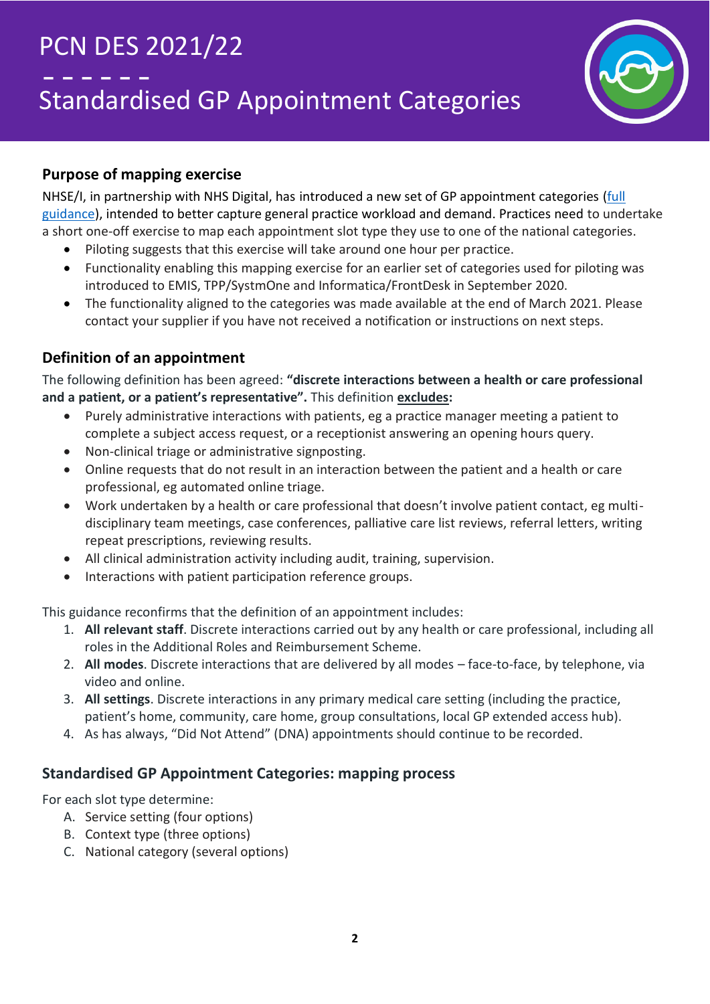

### **Purpose of mapping exercise**

NHSE/I, in partnership with NHS Digital, has introduced a new set of GP appointment categories [\(full](https://www.england.nhs.uk/publication/gpad-appointment-categorisation-guidance-2021-22/)  [guidance\)](https://www.england.nhs.uk/publication/gpad-appointment-categorisation-guidance-2021-22/), intended to better capture general practice workload and demand. Practices need to undertake a short one-off exercise to map each appointment slot type they use to one of the national categories.

- Piloting suggests that this exercise will take around one hour per practice.
- Functionality enabling this mapping exercise for an earlier set of categories used for piloting was introduced to EMIS, TPP/SystmOne and Informatica/FrontDesk in September 2020.
- The functionality aligned to the categories was made available at the end of March 2021. Please contact your supplier if you have not received a notification or instructions on next steps.

### **Definition of an appointment**

The following definition has been agreed: **"discrete interactions between a health or care professional and a patient, or a patient's representative".** This definition **excludes:**

- Purely administrative interactions with patients, eg a practice manager meeting a patient to complete a subject access request, or a receptionist answering an opening hours query.
- Non-clinical triage or administrative signposting.
- Online requests that do not result in an interaction between the patient and a health or care professional, eg automated online triage.
- Work undertaken by a health or care professional that doesn't involve patient contact, eg multidisciplinary team meetings, case conferences, palliative care list reviews, referral letters, writing repeat prescriptions, reviewing results.
- All clinical administration activity including audit, training, supervision.
- Interactions with patient participation reference groups.

This guidance reconfirms that the definition of an appointment includes:

- 1. **All relevant staff**. Discrete interactions carried out by any health or care professional, including all roles in the Additional Roles and Reimbursement Scheme.
- 2. **All modes**. Discrete interactions that are delivered by all modes face-to-face, by telephone, via video and online.
- 3. **All settings**. Discrete interactions in any primary medical care setting (including the practice, patient's home, community, care home, group consultations, local GP extended access hub).
- 4. As has always, "Did Not Attend" (DNA) appointments should continue to be recorded.

### **Standardised GP Appointment Categories: mapping process**

For each slot type determine:

- A. Service setting (four options)
- B. Context type (three options)
- C. National category (several options)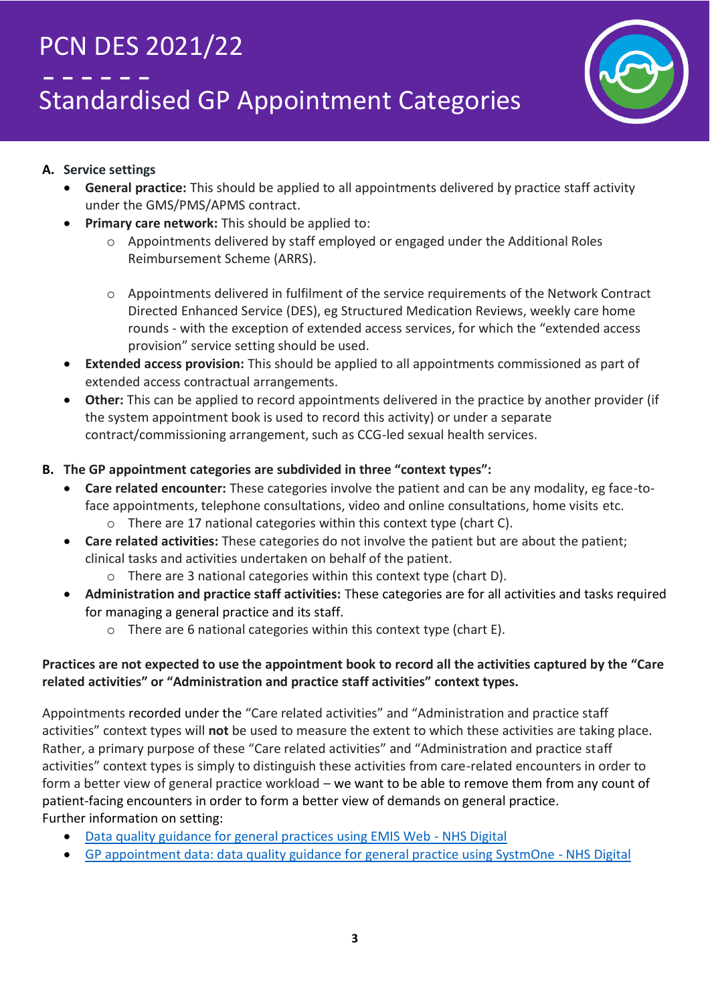

### **A. Service settings**

- **General practice:** This should be applied to all appointments delivered by practice staff activity under the GMS/PMS/APMS contract.
- **Primary care network:** This should be applied to:
	- o Appointments delivered by staff employed or engaged under the Additional Roles Reimbursement Scheme (ARRS).
	- o Appointments delivered in fulfilment of the service requirements of the Network Contract Directed Enhanced Service (DES), eg Structured Medication Reviews, weekly care home rounds - with the exception of extended access services, for which the "extended access provision" service setting should be used.
- **Extended access provision:** This should be applied to all appointments commissioned as part of extended access contractual arrangements.
- **Other:** This can be applied to record appointments delivered in the practice by another provider (if the system appointment book is used to record this activity) or under a separate contract/commissioning arrangement, such as CCG-led sexual health services.

### **B. The GP appointment categories are subdivided in three "context types":**

- **Care related encounter:** These categories involve the patient and can be any modality, eg face-toface appointments, telephone consultations, video and online consultations, home visits etc. o There are 17 national categories within this context type (chart C).
- **Care related activities:** These categories do not involve the patient but are about the patient; clinical tasks and activities undertaken on behalf of the patient.
	- o There are 3 national categories within this context type (chart D).
- **Administration and practice staff activities:** These categories are for all activities and tasks required for managing a general practice and its staff.
	- o There are 6 national categories within this context type (chart E).

### **Practices are not expected to use the appointment book to record all the activities captured by the "Care related activities" or "Administration and practice staff activities" context types.**

Appointments recorded under the "Care related activities" and "Administration and practice staff activities" context types will **not** be used to measure the extent to which these activities are taking place. Rather, a primary purpose of these "Care related activities" and "Administration and practice staff activities" context types is simply to distinguish these activities from care-related encounters in order to form a better view of general practice workload – we want to be able to remove them from any count of patient-facing encounters in order to form a better view of demands on general practice. Further information on setting:

- [Data quality guidance for general practices using EMIS Web -](https://digital.nhs.uk/data-and-information/data-collections-and-data-sets/data-collections/general-practice-data-for-planning-and-research/data-quality-guidance-for-general-practices-using-emis-web#chapter-index) NHS Digital
- [GP appointment data: data quality guidance for general practice using SystmOne -](https://digital.nhs.uk/data-and-information/data-collections-and-data-sets/data-collections/general-practice-data-for-planning-and-research/data-quality-guidance-for-general-practice-using-systmone) NHS Digital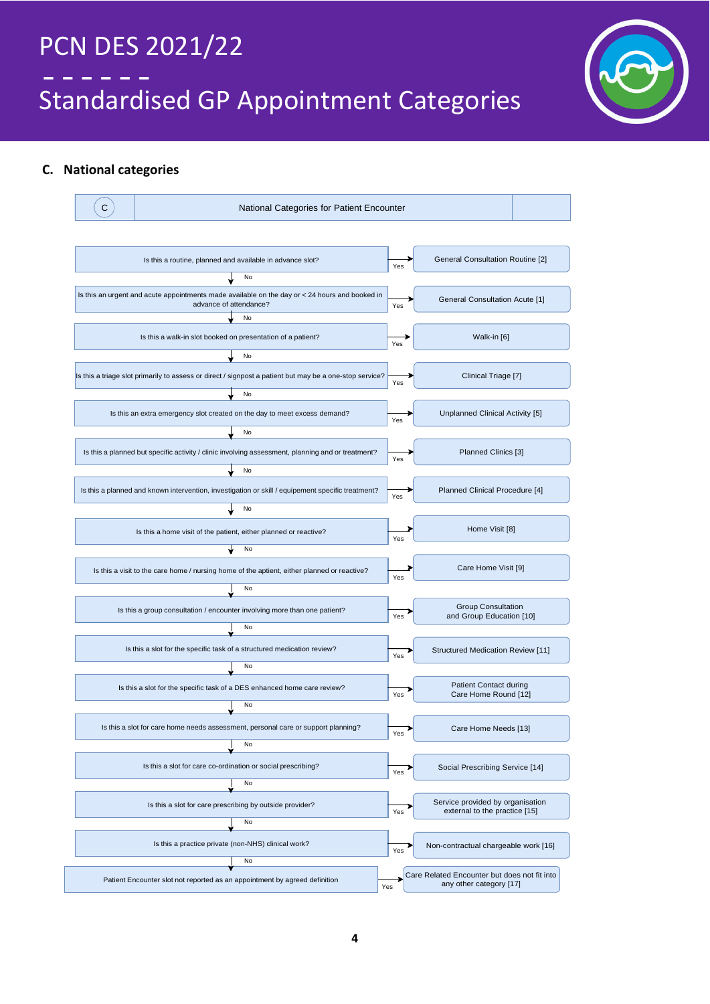

#### **C. National categories**